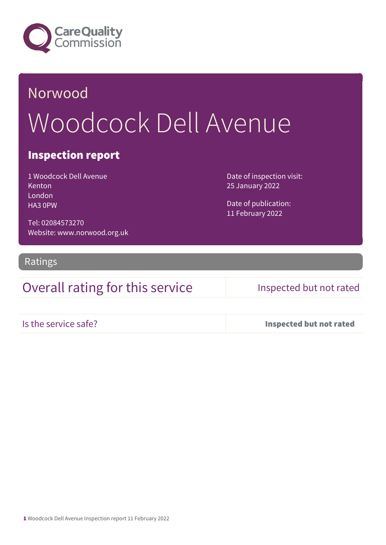

# Norwood Woodcock Dell Avenue

### Inspection report

1 Woodcock Dell Avenue Kenton London HA3 0PW

Date of inspection visit: 25 January 2022

Date of publication: 11 February 2022

Tel: 02084573270 Website: www.norwood.org.uk

Ratings

## Overall rating for this service Inspected but not rated

Is the service safe? Inspected but not rated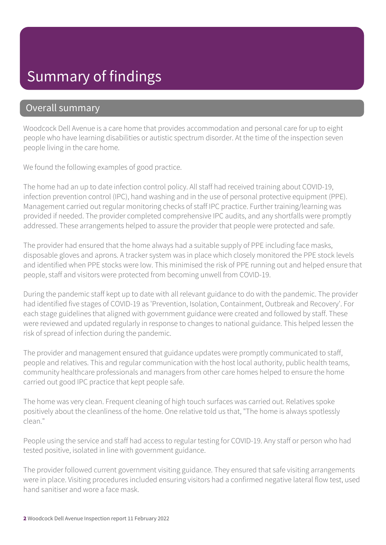## Summary of findings

### Overall summary

Woodcock Dell Avenue is a care home that provides accommodation and personal care for up to eight people who have learning disabilities or autistic spectrum disorder. At the time of the inspection seven people living in the care home.

We found the following examples of good practice.

The home had an up to date infection control policy. All staff had received training about COVID-19, infection prevention control (IPC), hand washing and in the use of personal protective equipment (PPE). Management carried out regular monitoring checks of staff IPC practice. Further training/learning was provided if needed. The provider completed comprehensive IPC audits, and any shortfalls were promptly addressed. These arrangements helped to assure the provider that people were protected and safe.

The provider had ensured that the home always had a suitable supply of PPE including face masks, disposable gloves and aprons. A tracker system was in place which closely monitored the PPE stock levels and identified when PPE stocks were low. This minimised the risk of PPE running out and helped ensure that people, staff and visitors were protected from becoming unwell from COVID-19.

During the pandemic staff kept up to date with all relevant guidance to do with the pandemic. The provider had identified five stages of COVID-19 as 'Prevention, Isolation, Containment, Outbreak and Recovery'. For each stage guidelines that aligned with government guidance were created and followed by staff. These were reviewed and updated regularly in response to changes to national guidance. This helped lessen the risk of spread of infection during the pandemic.

The provider and management ensured that guidance updates were promptly communicated to staff, people and relatives. This and regular communication with the host local authority, public health teams, community healthcare professionals and managers from other care homes helped to ensure the home carried out good IPC practice that kept people safe.

The home was very clean. Frequent cleaning of high touch surfaces was carried out. Relatives spoke positively about the cleanliness of the home. One relative told us that, "The home is always spotlessly clean."

People using the service and staff had access to regular testing for COVID-19. Any staff or person who had tested positive, isolated in line with government guidance.

The provider followed current government visiting guidance. They ensured that safe visiting arrangements were in place. Visiting procedures included ensuring visitors had a confirmed negative lateral flow test, used hand sanitiser and wore a face mask.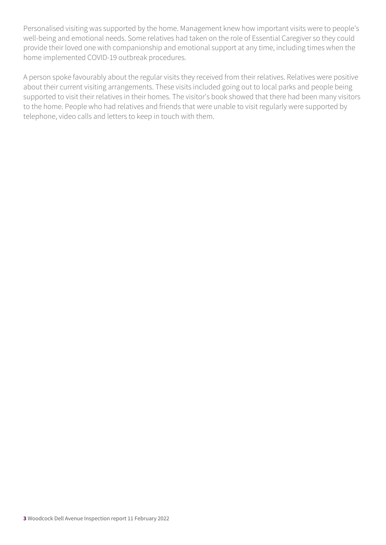Personalised visiting was supported by the home. Management knew how important visits were to people's well-being and emotional needs. Some relatives had taken on the role of Essential Caregiver so they could provide their loved one with companionship and emotional support at any time, including times when the home implemented COVID-19 outbreak procedures.

A person spoke favourably about the regular visits they received from their relatives. Relatives were positive about their current visiting arrangements. These visits included going out to local parks and people being supported to visit their relatives in their homes. The visitor's book showed that there had been many visitors to the home. People who had relatives and friends that were unable to visit regularly were supported by telephone, video calls and letters to keep in touch with them.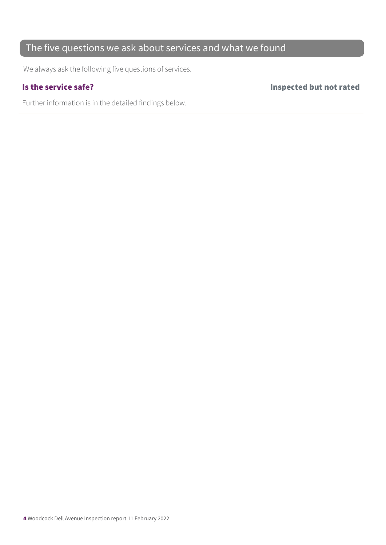## The five questions we ask about services and what we found

We always ask the following five questions of services.

Further information is in the detailed findings below.

Is the service safe? Inspected but not rated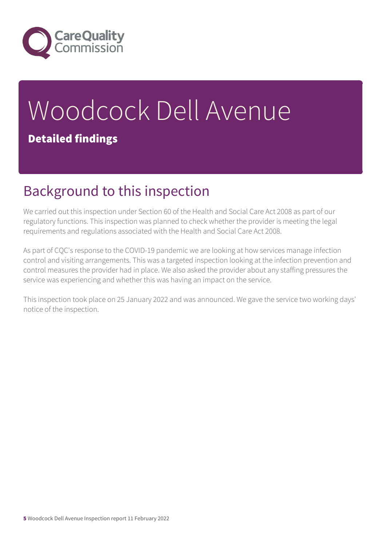

# Woodcock Dell Avenue Detailed findings

# Background to this inspection

We carried out this inspection under Section 60 of the Health and Social Care Act 2008 as part of our regulatory functions. This inspection was planned to check whether the provider is meeting the legal requirements and regulations associated with the Health and Social Care Act 2008.

As part of CQC's response to the COVID-19 pandemic we are looking at how services manage infection control and visiting arrangements. This was a targeted inspection looking at the infection prevention and control measures the provider had in place. We also asked the provider about any staffing pressures the service was experiencing and whether this was having an impact on the service.

This inspection took place on 25 January 2022 and was announced. We gave the service two working days' notice of the inspection.